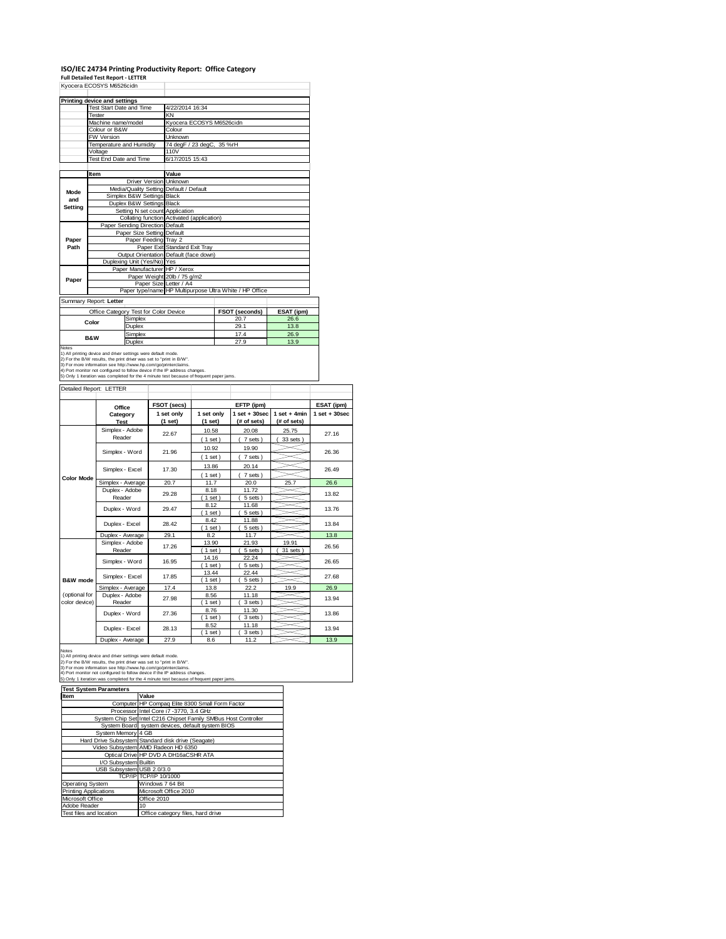### **ISO/IEC 24734 Printing Productivity Report: Office Category Full Detailed Test Report ‐ LETTER** Kyocera ECOSYS M6526cidn

| Printing device and settings |                             |                                       |                                                         |                       |            |  |  |
|------------------------------|-----------------------------|---------------------------------------|---------------------------------------------------------|-----------------------|------------|--|--|
| Test Start Date and Time     |                             |                                       | 4/22/2014 16:34                                         |                       |            |  |  |
| <b>Tester</b>                |                             |                                       | KN                                                      |                       |            |  |  |
|                              | Machine name/model          |                                       | Kvocera ECOSYS M6526cidn                                |                       |            |  |  |
|                              | Colour or B&W               |                                       | Colour                                                  |                       |            |  |  |
|                              | <b>FW Version</b>           |                                       | <b>Unknown</b>                                          |                       |            |  |  |
|                              | Temperature and Humidity    |                                       | 74 degF / 23 degC, 35 %rH                               |                       |            |  |  |
|                              | Voltage                     |                                       | 110V                                                    |                       |            |  |  |
|                              | Test End Date and Time      |                                       | 6/17/2015 15:43                                         |                       |            |  |  |
|                              |                             |                                       |                                                         |                       |            |  |  |
|                              | Item                        |                                       | Value                                                   |                       |            |  |  |
|                              |                             | <b>Driver Version Unknown</b>         |                                                         |                       |            |  |  |
| <b>Mode</b>                  |                             |                                       | Media/Quality Setting Default / Default                 |                       |            |  |  |
| and                          |                             | Simplex B&W Settings Black            |                                                         |                       |            |  |  |
| Setting                      |                             | Duplex B&W Settings Black             |                                                         |                       |            |  |  |
|                              |                             | Setting N set count Application       |                                                         |                       |            |  |  |
|                              |                             |                                       | Collating function Activated (application)              |                       |            |  |  |
|                              |                             | Paper Sending Direction Default       |                                                         |                       |            |  |  |
|                              | Paper Size Setting Default  |                                       |                                                         |                       |            |  |  |
| Paper                        | Paper Feeding Trav 2        |                                       |                                                         |                       |            |  |  |
| Path                         |                             |                                       | Paper Exit Standard Exit Tray                           |                       |            |  |  |
|                              |                             |                                       | Output Orientation Default (face down)                  |                       |            |  |  |
|                              | Duplexing Unit (Yes/No) Yes |                                       |                                                         |                       |            |  |  |
|                              |                             | Paper Manufacturer HP / Xerox         |                                                         |                       |            |  |  |
| Paper                        |                             |                                       | Paper Weight 20lb / 75 g/m2                             |                       |            |  |  |
|                              |                             |                                       | Paper Size Letter / A4                                  |                       |            |  |  |
|                              |                             |                                       | Paper type/name HP Multipurpose Ultra White / HP Office |                       |            |  |  |
| Summary Report: Letter       |                             |                                       |                                                         |                       |            |  |  |
|                              |                             | Office Category Test for Color Device |                                                         | <b>FSOT (seconds)</b> | ESAT (ipm) |  |  |
|                              |                             | Simplex                               |                                                         | 20.7                  | 26.6       |  |  |
|                              | Color                       | Duplex                                |                                                         | 29.1                  | 13.8       |  |  |

|                                                                                         |                                                                            | .    | ---- |  |
|-----------------------------------------------------------------------------------------|----------------------------------------------------------------------------|------|------|--|
|                                                                                         | Simplex                                                                    | 20.7 | 26.6 |  |
| Color                                                                                   | Duplex                                                                     | 29.1 | 13.8 |  |
| <b>B&amp;W</b>                                                                          | Simplex                                                                    | 17.4 | 26.9 |  |
|                                                                                         | Duplex                                                                     | 27.9 | 13.9 |  |
| Notes                                                                                   |                                                                            |      |      |  |
| 1) All printing device and driver settings were default mode.                           |                                                                            |      |      |  |
| 2) For the B/W results, the print driver was set to "print in B/W".                     |                                                                            |      |      |  |
| 3) For more information see http://www.hp.com/go/printerclaims.                         |                                                                            |      |      |  |
|                                                                                         | 4) Port monitor not configured to follow device if the IP address changes. |      |      |  |
| 5) Only 1 iteration was completed for the 4 minute test because of frequent paper jams. |                                                                            |      |      |  |

| Detailed Report: LETTER        |                           |                       |                       |                                  |                               |                   |
|--------------------------------|---------------------------|-----------------------|-----------------------|----------------------------------|-------------------------------|-------------------|
|                                | Office                    | FSOT (secs)           |                       | EFTP (ipm)                       |                               | ESAT (ipm)        |
|                                | Category<br><b>Test</b>   | 1 set only<br>(1 set) | 1 set only<br>(1 set) | $1$ set $+30$ sec<br>(# of sets) | $1$ set + 4min<br>(# of sets) | $1$ set $+30$ sec |
|                                | Simplex - Adobe<br>Reader | 22.67                 | 10.58<br>(1 set)      | 20.08<br>7 sets)                 | 25.75<br>33 sets)             | 27.16             |
|                                | Simplex - Word            | 21.96                 | 10.92<br>$1$ set)     | 19.90<br>7 sets)                 |                               | 26.36             |
|                                | Simplex - Excel           | 17.30                 | 13.86<br>$1$ set)     | 20.14<br>7 sets)                 |                               | 26.49             |
| <b>Color Mode</b>              | Simplex - Average         | 20.7                  | 11.7                  | 20.0                             | 25.7                          | 26.6              |
|                                | Duplex - Adobe<br>Reader  | 29.28                 | 8.18<br>$1$ set)      | 11.72<br>5 sets)                 |                               | 13.82             |
|                                | Duplex - Word             | 29.47                 | 8.12<br>$1$ set)      | 11.68<br>5 sets)                 |                               | 13.76             |
|                                | Duplex - Excel            | 28.42                 | 8.42<br>$1$ set)      | 11.88<br>5 sets)                 |                               | 13.84             |
|                                | Duplex - Average          | 29.1                  | 8.2                   | 11.7                             |                               | 13.8              |
|                                | Simplex - Adobe<br>Reader | 17.26                 | 13.90<br>1 set        | 21.93<br>5 sets                  | 19.91<br>31 sets              | 26.56             |
|                                | Simplex - Word            | 16.95                 | 14.16<br>$1$ set)     | 22.24<br>5 sets)                 |                               | 26.65             |
| B&W mode                       | Simplex - Excel           | 17.85                 | 13.44<br>1 set        | 22.44<br>5 sets)                 |                               | 27.68             |
|                                | Simplex - Average         | 17.4                  | 13.8                  | 22.2                             | 19.9                          | 26.9              |
| (optional for<br>color device) | Duplex - Adobe<br>Reader  | 27.98                 | 8.56<br>$1$ set)      | 11.18<br>3 sets)                 |                               | 13.94             |
|                                | Duplex - Word             | 27.36                 | 8.76<br>$1$ set)      | 11.30<br>3 sets)                 |                               | 13.86             |
|                                | Duplex - Excel            | 28.13                 | 8.52<br>1 set         | 11.18<br>3 sets)                 |                               | 13.94             |
|                                | Duplex - Average          | 27.9                  | 8.6                   | 11.2                             |                               | 13.9              |

Notes<br>1) All printing device and driver settings were default mode.<br>2) For the B/W results, the print driver was set to "print in B/W".<br>3) For more information see http://www.fp.com/go/printerclaims.<br>4) Port monitor not co

| <b>Test System Parameters</b> |                                                                 |  |  |
|-------------------------------|-----------------------------------------------------------------|--|--|
| Item                          | Value                                                           |  |  |
|                               | Computer HP Compag Elite 8300 Small Form Factor                 |  |  |
|                               | Processor Intel Core i7 -3770, 3.4 GHz                          |  |  |
|                               | System Chip Set Intel C216 Chipset Family SMBus Host Controller |  |  |
|                               | System Board system devices, default system BIOS                |  |  |
| System Memory 4 GB            |                                                                 |  |  |
|                               | Hard Drive Subsystem Standard disk drive (Seagate)              |  |  |
|                               | Video Subsystem AMD Radeon HD 6350                              |  |  |
|                               | Optical Drive HP DVD A DH16aCSHR ATA                            |  |  |
| I/O Subsystem Builtin         |                                                                 |  |  |
| USB Subsystem USB 2.0/3.0     |                                                                 |  |  |
|                               | TCP/IP TCP/IP 10/1000                                           |  |  |
| Operating System              | Windows 7 64 Bit                                                |  |  |
| <b>Printing Applications</b>  | Microsoft Office 2010                                           |  |  |
| Microsoft Office              | Office 2010                                                     |  |  |
| Adobe Reader                  | 10 <sup>1</sup>                                                 |  |  |
| Test files and location       | Office category files, hard drive                               |  |  |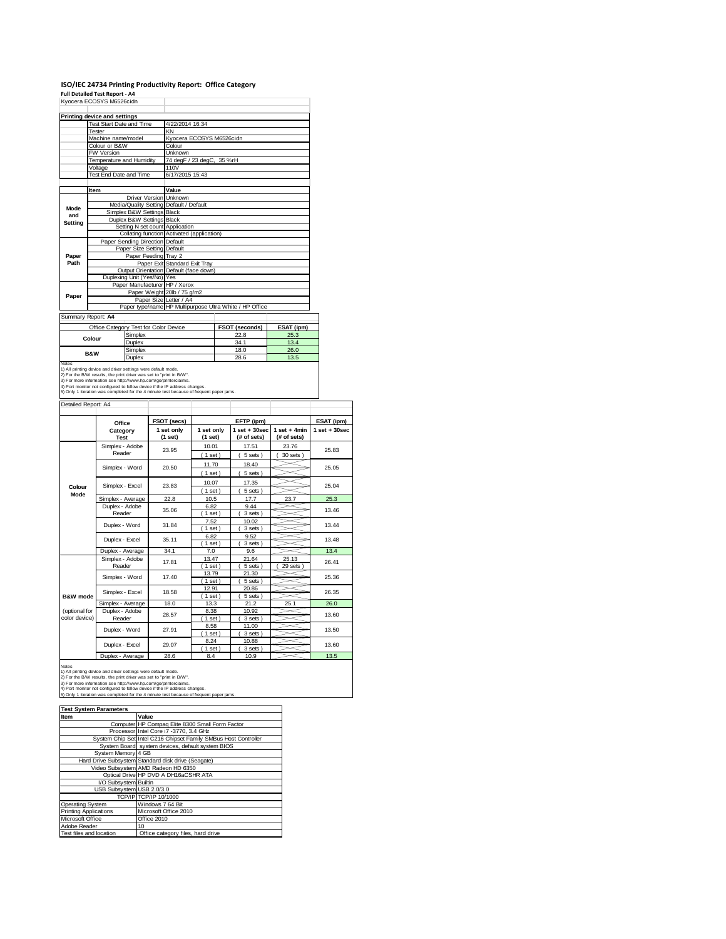#### **ISO/IEC 24734 Printing Productivity Report: Office Category**

**Full Detailed Test Report ‐ A4** Kyocera ECOSYS M6526cidn

|                     | <b>NYUCER ECOSTS IVIOSZOCIUM</b>                                                                                                     |                                 |    |                                                                               |            |      |                                                         |                |                   |
|---------------------|--------------------------------------------------------------------------------------------------------------------------------------|---------------------------------|----|-------------------------------------------------------------------------------|------------|------|---------------------------------------------------------|----------------|-------------------|
|                     | <b>Printing device and settings</b>                                                                                                  |                                 |    |                                                                               |            |      |                                                         |                |                   |
|                     | Test Start Date and Time                                                                                                             |                                 |    | 4/22/2014 16:34                                                               |            |      |                                                         |                |                   |
|                     | Tester                                                                                                                               |                                 | KN |                                                                               |            |      |                                                         |                |                   |
|                     | Machine name/model                                                                                                                   |                                 |    | Kyocera ECOSYS M6526cidn                                                      |            |      |                                                         |                |                   |
|                     | Colour or B&W                                                                                                                        |                                 |    | Colour                                                                        |            |      |                                                         |                |                   |
|                     | FW Version                                                                                                                           |                                 |    | Unknown                                                                       |            |      |                                                         |                |                   |
|                     | Temperature and Humidity                                                                                                             |                                 |    | 74 degF / 23 degC, 35 %rH                                                     |            |      |                                                         |                |                   |
|                     | Voltage                                                                                                                              |                                 |    | 110V                                                                          |            |      |                                                         |                |                   |
|                     | Test End Date and Time                                                                                                               |                                 |    | 6/17/2015 15:43                                                               |            |      |                                                         |                |                   |
|                     |                                                                                                                                      |                                 |    |                                                                               |            |      |                                                         |                |                   |
|                     | Item                                                                                                                                 |                                 |    | Value                                                                         |            |      |                                                         |                |                   |
|                     |                                                                                                                                      |                                 |    | Driver Version Unknown                                                        |            |      |                                                         |                |                   |
| Mode                |                                                                                                                                      | Media/Quality Setting           |    | Default / Default                                                             |            |      |                                                         |                |                   |
| and                 |                                                                                                                                      | Simplex B&W Settings Black      |    |                                                                               |            |      |                                                         |                |                   |
| Setting             |                                                                                                                                      | Duplex B&W Settings             |    | <b>Black</b>                                                                  |            |      |                                                         |                |                   |
|                     |                                                                                                                                      |                                 |    | Setting N set count Application<br>Collating function Activated (application) |            |      |                                                         |                |                   |
|                     |                                                                                                                                      | Paper Sending Direction Default |    |                                                                               |            |      |                                                         |                |                   |
|                     |                                                                                                                                      | Paper Size Setting Default      |    |                                                                               |            |      |                                                         |                |                   |
| Paper               |                                                                                                                                      | Paper Feeding Tray 2            |    |                                                                               |            |      |                                                         |                |                   |
| Path                |                                                                                                                                      |                                 |    | Paper Exit Standard Exit Tray                                                 |            |      |                                                         |                |                   |
|                     |                                                                                                                                      |                                 |    | Output Orientation Default (face down)                                        |            |      |                                                         |                |                   |
|                     |                                                                                                                                      | Duplexing Unit (Yes/No) Yes     |    |                                                                               |            |      |                                                         |                |                   |
|                     |                                                                                                                                      |                                 |    | Paper Manufacturer HP / Xerox                                                 |            |      |                                                         |                |                   |
| Paper               | Paper Weight 20lb / 75 g/m2                                                                                                          |                                 |    |                                                                               |            |      |                                                         |                |                   |
|                     | Paper Size Letter / A4                                                                                                               |                                 |    |                                                                               |            |      |                                                         |                |                   |
|                     |                                                                                                                                      |                                 |    |                                                                               |            |      | Paper type/name HP Multipurpose Ultra White / HP Office |                |                   |
|                     | Summary Report: A4                                                                                                                   |                                 |    |                                                                               |            |      |                                                         |                |                   |
|                     | Office Category Test for Color Device                                                                                                |                                 |    |                                                                               |            |      | FSOT (seconds)                                          | ESAT (ipm)     |                   |
|                     |                                                                                                                                      | Simplex                         |    |                                                                               |            |      | 22.8                                                    | 25.3           |                   |
|                     | Colour                                                                                                                               | Duplex                          |    |                                                                               |            | 34.1 |                                                         | 13.4           |                   |
|                     |                                                                                                                                      | Simplex                         |    |                                                                               |            |      | 18.0                                                    | 26.0           |                   |
|                     | <b>B&amp;W</b>                                                                                                                       | Duplex                          |    |                                                                               |            | 28.6 |                                                         | 13.5           |                   |
| <b>Notes</b>        |                                                                                                                                      |                                 |    |                                                                               |            |      |                                                         |                |                   |
|                     | 1) All printing device and driver settings were default mode.<br>2) For the B/W results, the print driver was set to "print in B/W". |                                 |    |                                                                               |            |      |                                                         |                |                   |
|                     | 3) For more information see http://www.hp.com/go/printerclaims.                                                                      |                                 |    |                                                                               |            |      |                                                         |                |                   |
|                     | 4) Port monitor not configured to follow device if the IP address changes.                                                           |                                 |    |                                                                               |            |      |                                                         |                |                   |
|                     | 5) Only 1 iteration was completed for the 4 minute test because of frequent paper jams.                                              |                                 |    |                                                                               |            |      |                                                         |                |                   |
| Detailed Report: A4 |                                                                                                                                      |                                 |    |                                                                               |            |      |                                                         |                |                   |
|                     |                                                                                                                                      |                                 |    |                                                                               |            |      |                                                         |                |                   |
|                     |                                                                                                                                      |                                 |    | FSOT (secs)                                                                   |            |      | EFTP (ipm)                                              |                | ESAT (ipm)        |
|                     | Office<br>Category                                                                                                                   |                                 |    | 1 set only                                                                    | 1 set only |      | $1$ set + 30sec                                         | $1$ set + 4min | $1$ set $+30$ sec |
|                     | Test                                                                                                                                 |                                 |    | (1 set)                                                                       | (1 set)    |      | (# of sets)                                             | (# of sets)    |                   |
|                     |                                                                                                                                      |                                 |    |                                                                               |            |      |                                                         |                |                   |
|                     | Simplex - Adobe<br>Reader                                                                                                            |                                 |    | 23.95                                                                         | 10.01      |      | 17.51                                                   | 23.76          | 25.83             |
|                     |                                                                                                                                      |                                 |    |                                                                               | (1 set)    |      | 5 sets)<br>7                                            | $30$ sets $)$  |                   |
|                     | Simplex - Word                                                                                                                       |                                 |    | 20.50                                                                         | 11.70      |      | 18.40                                                   |                | 25.05             |
|                     |                                                                                                                                      |                                 |    |                                                                               | (1 set)    |      | 5 sets)<br>$\epsilon$                                   |                |                   |
|                     |                                                                                                                                      |                                 |    |                                                                               | 10.07      |      | 17.35                                                   |                |                   |
| Colour              | Simplex - Excel                                                                                                                      |                                 |    | 23.83                                                                         | (1 set)    |      | 5 sets)<br>(                                            |                | 25.04             |
| Mode                | Simplex - Average                                                                                                                    |                                 |    | 22.8                                                                          | 10.5       |      | 17.7                                                    | 23.7           | 25.3              |
|                     | Duplex - Adobe                                                                                                                       |                                 |    |                                                                               | 6.82       |      | 9.44                                                    |                |                   |
|                     | Reader                                                                                                                               |                                 |    | 35.06                                                                         | (1 set)    |      | 3 sets)                                                 |                | 13.46             |
|                     |                                                                                                                                      |                                 |    |                                                                               | 7.52       |      | 10.02                                                   |                |                   |
|                     | Duplex - Word                                                                                                                        |                                 |    | 31.84                                                                         | (1 set)    |      | 3 sets)                                                 |                | 13.44             |
|                     |                                                                                                                                      |                                 |    |                                                                               |            |      |                                                         |                |                   |

13.44 6.82 9.52<br>
(1 set) (3 sets<br>
7.0 9.6 13.48 Duplex - Excel 35.11 - $(3 \text{ sets})$ <br> $9.6$ Puplex - Average 34.1 7.0 9.6 13.4<br>
Simplex - Adobe 17.81 13.47 21.64 25.13<br>
Reader 17.81 1.8et) (5 sets) (29 sets) 26.4 13.47 21.64 25.13<br>(1 set) (5 sets) (29 set 17.81 26.41  $\begin{array}{|c|c|c|c|c|}\n\hline\n(1 & \text{set}) & (5 & \text{sets}) & (29 & \text{sets}) \\
\hline\n13.79 & 21.30 & & & \n\end{array}$ 13.79 21.30<br>
(1 set) (5 sets<br>
12.91 20.86 ∖ Simplex - Word 17.40 ∍ 25.36  $(5 \text{ sets})$ Simplex - Excel 18.58 20.86 26.35 **B&W mode** ( 1 set ) ( 5 sets )<br>13.3 21.2 2 Simplex - Average 18.0 13.3 21.2 25.1 26.0 (optional for 8.38 10.92<br>
(1 set) (3 sets<br>
8.58 11.00 28.57 13.60 color device) **Reader**  $\leq$  $(1 \text{ set})$   $(3 \text{ sets})$ <br>8.58 11.00 Duplex - Word 27.91 ⋚ 13.50 ( 1 set ) ( 3 sets )<br>8.24 10.88  $\frac{8.24}{(1 \text{ set})}$ Duplex - Excel 29.07  $\leq$ 13.60 1 set ) ( 3 sets )<br>8.4 10.9 Duplex - Average | 28.6 | 8.4 | 10.9 | 13.5

Notes<br>1) All printing device and driver settings were default mode.<br>2) For the EW results, the print driver was set to "print in BW".<br>3) For more information see http://www.fp.com/go/printerclaims.<br>4) Port monitor not conf

| <b>Test System Parameters</b> |                                                                 |  |  |  |  |
|-------------------------------|-----------------------------------------------------------------|--|--|--|--|
| Item                          | Value                                                           |  |  |  |  |
|                               | Computer HP Compaq Elite 8300 Small Form Factor                 |  |  |  |  |
|                               | Processor Intel Core i7 -3770, 3.4 GHz                          |  |  |  |  |
|                               | System Chip Set Intel C216 Chipset Family SMBus Host Controller |  |  |  |  |
|                               | System Board system devices, default system BIOS                |  |  |  |  |
| System Memory 4 GB            |                                                                 |  |  |  |  |
|                               | Hard Drive Subsystem Standard disk drive (Seagate)              |  |  |  |  |
|                               | Video Subsystem AMD Radeon HD 6350                              |  |  |  |  |
|                               | Optical Drive HP DVD A DH16aCSHR ATA                            |  |  |  |  |
| I/O Subsystem Builtin         |                                                                 |  |  |  |  |
| USB Subsystem USB 2.0/3.0     |                                                                 |  |  |  |  |
|                               | TCP/IP TCP/IP 10/1000                                           |  |  |  |  |
| Operating System              | Windows 7 64 Bit                                                |  |  |  |  |
| <b>Printing Applications</b>  | Microsoft Office 2010                                           |  |  |  |  |
| Microsoft Office              | Office 2010                                                     |  |  |  |  |
| Adobe Reader                  | 10                                                              |  |  |  |  |
| Test files and location       | Office category files, hard drive                               |  |  |  |  |
|                               |                                                                 |  |  |  |  |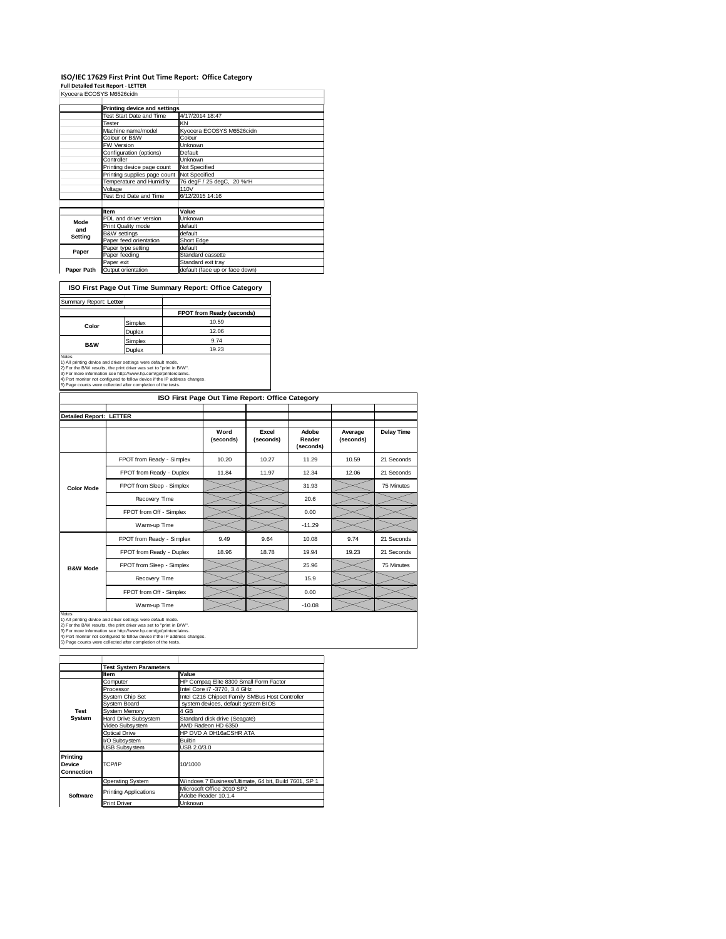# I**SO/IEC 17629 First Print Out Time Report: Office Category**<br>Full Detailed Test Report - LETTER<br>Kyocera ECOSYS M6526cidn

|             | KVOCETA EUUSTS MOSZOCION     |                                |
|-------------|------------------------------|--------------------------------|
|             | Printing device and settings |                                |
|             | Test Start Date and Time     | 4/17/2014 18:47                |
|             | Tester                       | KN                             |
|             | Machine name/model           | Kvocera ECOSYS M6526cidn       |
|             | Colour or B&W                | Colour                         |
|             | <b>FW Version</b>            | Unknown                        |
|             | Configuration (options)      | Default                        |
|             | Controller                   | Unknown                        |
|             | Printing device page count   | Not Specified                  |
|             | Printing supplies page count | Not Specified                  |
|             | Temperature and Humidity     | 76 degF / 25 degC, 20 %rH      |
|             | Voltage                      | 110V                           |
|             | Test End Date and Time       | 6/12/2015 14:16                |
|             |                              |                                |
|             | Item                         | Value                          |
| <b>Mode</b> | PDL and driver version       | Unknown                        |
| and         | Print Quality mode           | default                        |
| Setting     | <b>B&amp;W</b> settings      | default                        |
|             | Paper feed orientation       | Short Edge                     |
| Paper       | Paper type setting           | default                        |
|             | Paper feeding                | Standard cassette              |
|             | Paper exit                   | Standard exit tray             |
| Paper Path  | Output orientation           | default (face up or face down) |

**ISO First Page Out Time Summary Report: Office Category**

| Summary Report: Letter |         |                           |
|------------------------|---------|---------------------------|
|                        |         | FPOT from Ready (seconds) |
|                        | Simplex | 10.59                     |
| Color                  | Duplex  | 12.06                     |
| <b>B&amp;W</b>         | Simplex | 9.74                      |
|                        | Duplex  | 19.23                     |

Notes<br>1) All printing device and driver settings were default mode.<br>2) For the B/W results, the print driver was set to "print in B/W".<br>3) For more information see http://www.hp.com/go/printerclaims.<br>4) Port monitor not co

| ISO First Page Out Time Report: Office Category |                           |                   |                    |                              |                      |            |
|-------------------------------------------------|---------------------------|-------------------|--------------------|------------------------------|----------------------|------------|
| <b>Detailed Report: LETTER</b>                  |                           |                   |                    |                              |                      |            |
|                                                 |                           | Word<br>(seconds) | Excel<br>(seconds) | Adobe<br>Reader<br>(seconds) | Average<br>(seconds) | Delay Time |
|                                                 | FPOT from Ready - Simplex | 10.20             | 10.27              | 11.29                        | 10.59                | 21 Seconds |
|                                                 | FPOT from Ready - Duplex  | 11.84             | 11.97              | 12.34                        | 12.06                | 21 Seconds |
| <b>Color Mode</b>                               | FPOT from Sleep - Simplex |                   |                    | 31.93                        |                      | 75 Minutes |
|                                                 | Recovery Time             |                   |                    | 20.6                         |                      |            |
|                                                 | FPOT from Off - Simplex   |                   |                    | 0.00                         |                      |            |
|                                                 | Warm-up Time              |                   |                    | $-11.29$                     |                      |            |
|                                                 | FPOT from Ready - Simplex | 9.49              | 9.64               | 10.08                        | 9.74                 | 21 Seconds |
|                                                 | FPOT from Ready - Duplex  | 18.96             | 18.78              | 19.94                        | 19.23                | 21 Seconds |
| <b>B&amp;W Mode</b>                             | FPOT from Sleep - Simplex |                   |                    | 25.96                        |                      | 75 Minutes |
|                                                 | Recovery Time             |                   |                    | 15.9                         |                      |            |
|                                                 | FPOT from Off - Simplex   |                   |                    | 0.00                         |                      |            |
|                                                 | Warm-up Time              |                   |                    | $-10.08$                     |                      |            |

Notes<br>1) All printing device and driver settings were default mode.<br>2) For the B/W results, the print driver was set to "print in B/W".<br>3) For more information see http://www.hp.com/go/printerclaims.<br>4) Port monitor not co

|                                  | <b>Test System Parameters</b> |                                                       |  |  |
|----------------------------------|-------------------------------|-------------------------------------------------------|--|--|
|                                  | <b>Item</b>                   | Value                                                 |  |  |
|                                  | Computer                      | HP Compaq Elite 8300 Small Form Factor                |  |  |
|                                  | Processor                     | Intel Core i7 -3770, 3.4 GHz                          |  |  |
|                                  | System Chip Set               | Intel C216 Chipset Family SMBus Host Controller       |  |  |
|                                  | System Board                  | system devices, default system BIOS                   |  |  |
| Test                             | System Memory                 | 4 GB                                                  |  |  |
| System                           | <b>Hard Drive Subsystem</b>   | Standard disk drive (Seagate)                         |  |  |
|                                  | Video Subsystem               | AMD Radeon HD 6350                                    |  |  |
|                                  | <b>Optical Drive</b>          | HP DVD A DH16aCSHR ATA                                |  |  |
|                                  | I/O Subsystem                 | <b>Builtin</b>                                        |  |  |
|                                  | <b>USB Subsystem</b>          | USB 2.0/3.0                                           |  |  |
| Printing<br>Device<br>Connection | TCP/IP                        | 10/1000                                               |  |  |
|                                  | Operating System              | Windows 7 Business/Ultimate, 64 bit, Build 7601, SP 1 |  |  |
|                                  |                               | Microsoft Office 2010 SP2                             |  |  |
| Software                         | <b>Printing Applications</b>  | Adobe Reader 10.1.4                                   |  |  |
|                                  | <b>Print Driver</b>           | <b>Unknown</b>                                        |  |  |
|                                  |                               |                                                       |  |  |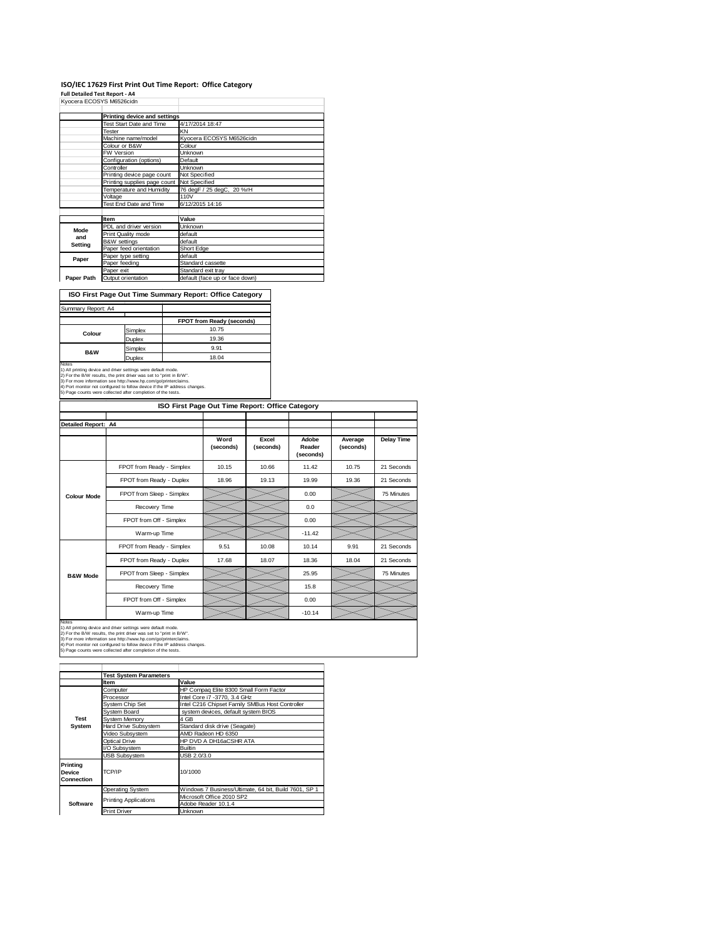#### **ISO/IEC 17629 First Print Out Time Report: Office Category**

т

**Full Detailed Test Report ‐ A4** Kyocera ECOSYS M6526cidn

|             | Printing device and settings |                                |
|-------------|------------------------------|--------------------------------|
|             | Test Start Date and Time     | 4/17/2014 18:47                |
|             | Tester                       | KN                             |
|             | Machine name/model           | Kyocera ECOSYS M6526cidn       |
|             | Colour or B&W                | Colour                         |
|             | <b>FW Version</b>            | Unknown                        |
|             | Configuration (options)      | Default                        |
|             | Controller                   | <b>Unknown</b>                 |
|             | Printing device page count   | Not Specified                  |
|             | Printing supplies page count | Not Specified                  |
|             | Temperature and Humidity     | 76 degF / 25 degC, 20 %rH      |
|             | Voltage                      | <b>110V</b>                    |
|             | Test End Date and Time       | 6/12/2015 14:16                |
|             |                              |                                |
|             | Item                         | Value                          |
| <b>Mode</b> | PDL and driver version       | Unknown                        |
| and         | Print Quality mode           | default                        |
| Setting     | <b>B&amp;W</b> settings      | default                        |
|             | Paper feed orientation       | Short Edge                     |
| Paper       | Paper type setting           | default                        |
|             | Paper feeding                | Standard cassette              |
|             | Paper exit                   | Standard exit tray             |
| Paper Path  | Output orientation           | default (face up or face down) |

**ISO First Page Out Time Summary Report: Office Category**

| Summary Report: A4       |         |                           |
|--------------------------|---------|---------------------------|
|                          |         | FPOT from Ready (seconds) |
| Colour                   | Simplex | 10.75                     |
|                          | Duplex  | 19.36                     |
| <b>B&amp;W</b>           | Simplex | 9.91                      |
|                          | Duplex  | 18.04                     |
| $\overline{\phantom{a}}$ |         |                           |

Notes<br>1) All printing device and driver settings were default mode.<br>2) For the B/W results, the print driver was set to "print in B/W".<br>3) For more information see http://www.hp.com/go/printerclaims.<br>4) Port monitor not co

| ISO First Page Out Time Report: Office Category |                           |                   |                    |                              |                      |                   |
|-------------------------------------------------|---------------------------|-------------------|--------------------|------------------------------|----------------------|-------------------|
|                                                 |                           |                   |                    |                              |                      |                   |
| Detailed Report: A4                             |                           |                   |                    |                              |                      |                   |
|                                                 |                           | Word<br>(seconds) | Excel<br>(seconds) | Adobe<br>Reader<br>(seconds) | Average<br>(seconds) | <b>Delay Time</b> |
|                                                 | FPOT from Ready - Simplex | 10.15             | 10.66              | 11.42                        | 10.75                | 21 Seconds        |
|                                                 | FPOT from Ready - Duplex  | 18.96             | 19.13              | 19.99                        | 19.36                | 21 Seconds        |
| <b>Colour Mode</b>                              | FPOT from Sleep - Simplex |                   |                    | 0.00                         |                      | 75 Minutes        |
|                                                 | Recovery Time             |                   |                    | 0.0                          |                      |                   |
|                                                 | FPOT from Off - Simplex   |                   |                    | 0.00                         |                      |                   |
|                                                 | Warm-up Time              |                   |                    | $-11.42$                     |                      |                   |
|                                                 | FPOT from Ready - Simplex | 9.51              | 10.08              | 10.14                        | 9.91                 | 21 Seconds        |
|                                                 | FPOT from Ready - Duplex  | 17.68             | 18.07              | 18.36                        | 18.04                | 21 Seconds        |
| <b>B&amp;W Mode</b>                             | FPOT from Sleep - Simplex |                   |                    | 25.95                        |                      | 75 Minutes        |
|                                                 | Recovery Time             |                   |                    | 15.8                         |                      |                   |
|                                                 | FPOT from Off - Simplex   |                   |                    | 0.00                         |                      |                   |
|                                                 | Warm-up Time              |                   |                    | $-10.14$                     |                      |                   |

Notes<br>1) All printing device and driver settings were default mode.<br>2) For the B/W results, the print driver was set to "print in B/W".<br>3) For more information see http://www.hp.com/go/printerclaims.<br>4) Port monitor not co

|                                  | <b>Test System Parameters</b> |                                                       |
|----------------------------------|-------------------------------|-------------------------------------------------------|
|                                  | <b>Item</b>                   | Value                                                 |
|                                  | Computer                      | HP Compaq Elite 8300 Small Form Factor                |
|                                  | Processor                     | Intel Core i7 -3770, 3.4 GHz                          |
|                                  | <b>System Chip Set</b>        | Intel C216 Chipset Family SMBus Host Controller       |
|                                  | System Board                  | system devices, default system BIOS                   |
| Test                             | System Memory                 | 4 GB                                                  |
| System                           | Hard Drive Subsystem          | Standard disk drive (Seagate)                         |
|                                  | Video Subsystem               | AMD Radeon HD 6350                                    |
|                                  | Optical Drive                 | HP DVD A DH16aCSHR ATA                                |
|                                  | I/O Subsystem                 | <b>Builtin</b>                                        |
|                                  | <b>USB Subsystem</b>          | USB 2.0/3.0                                           |
| Printina<br>Device<br>Connection | TCP/IP                        | 10/1000                                               |
|                                  | <b>Operating System</b>       | Windows 7 Business/Ultimate, 64 bit, Build 7601, SP 1 |
|                                  |                               | Microsoft Office 2010 SP2                             |
| Software                         | <b>Printing Applications</b>  | Adobe Reader 10.1.4                                   |
|                                  | <b>Print Driver</b>           | Unknown                                               |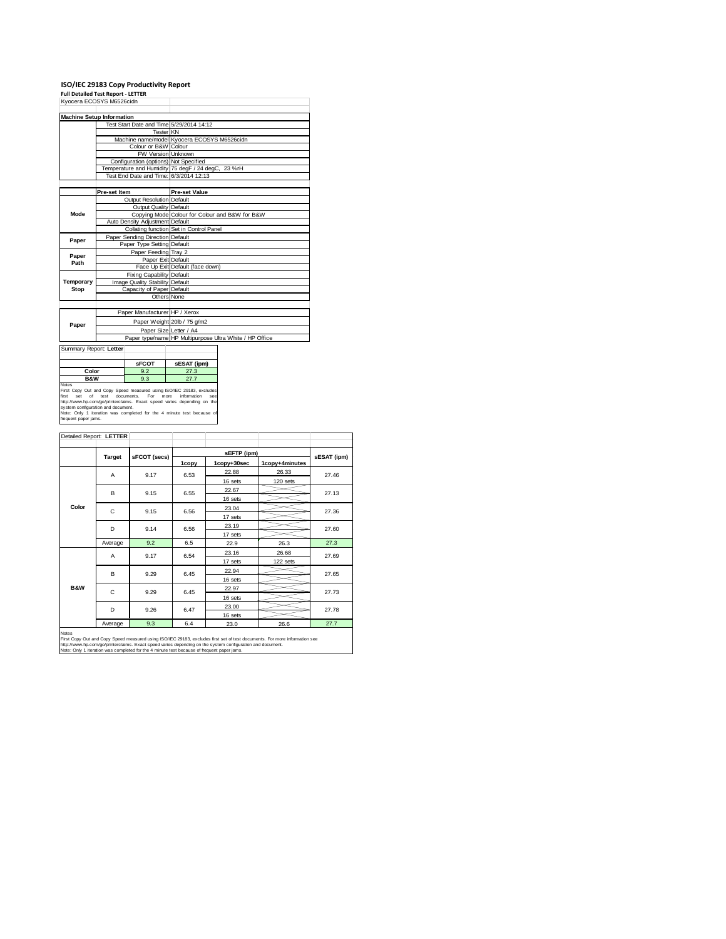# **ISO/IEC 29183 Copy Productivity Report Full Detailed Test Report ‐ LETTER** Kyocera ECOSYS M6526cidn

|             | Kyocera ECOSYS M6526cidn                 |                                                         |
|-------------|------------------------------------------|---------------------------------------------------------|
|             | <b>Machine Setup Information</b>         |                                                         |
|             | Test Start Date and Time 5/29/2014 14:12 |                                                         |
|             | <b>Tester KN</b>                         |                                                         |
|             |                                          | Machine name/model Kyocera ECOSYS M6526cidn             |
|             | Colour or B&W Colour                     |                                                         |
|             | FW Version Unknown                       |                                                         |
|             | Configuration (options) Not Specified    |                                                         |
|             |                                          | Temperature and Humidity 75 degF / 24 degC, 23 %rH      |
|             | Test End Date and Time: 6/3/2014 12:13   |                                                         |
|             |                                          |                                                         |
|             | Pre-set Item                             | <b>Pre-set Value</b>                                    |
|             | <b>Output Resolution Default</b>         |                                                         |
| <b>Mode</b> | Output Quality Default                   |                                                         |
|             |                                          | Copying Mode Colour for Colour and B&W for B&W          |
|             | Auto Density Adjustment Default          |                                                         |
|             |                                          | Collating function Set in Control Panel                 |
| Paper       | Paper Sending Direction Default          |                                                         |
|             | Paper Type Setting Default               |                                                         |
| Paper       | Paper Feeding Tray 2                     |                                                         |
| Path        | Paper Exit Default                       |                                                         |
|             |                                          | Face Up Exit Default (face down)                        |
|             | Fixing Capability Default                |                                                         |
| Temporary   | Image Quality Stability Default          |                                                         |
| Stop        | Capacity of Paper Default                |                                                         |
|             | Others None                              |                                                         |
|             |                                          |                                                         |
|             | Paper Manufacturer HP / Xerox            |                                                         |
|             |                                          | Paper Weight 20lb / 75 g/m2                             |
| Paper       | Paper Size Letter / A4                   |                                                         |
|             |                                          | Paper type/name HP Multipurpose Ultra White / HP Office |

| Summary Report: Letter                                                                                                                                                                                                                                                                                                                             |              |                    |
|----------------------------------------------------------------------------------------------------------------------------------------------------------------------------------------------------------------------------------------------------------------------------------------------------------------------------------------------------|--------------|--------------------|
|                                                                                                                                                                                                                                                                                                                                                    | <b>sFCOT</b> | sESAT (ipm)        |
| Color                                                                                                                                                                                                                                                                                                                                              | 9.2          | 27.3               |
| <b>B&amp;W</b>                                                                                                                                                                                                                                                                                                                                     | 9.3          | 27.7               |
| <b>Notes</b><br>First Copy Out and Copy Speed measured using ISO/IEC 29183, excludes<br>first<br>set of test documents. For more<br>http://www.hp.com/go/printerclaims. Exact speed varies depending on the<br>system configuration and document.<br>Note: Only 1 iteration was completed for the 4 minute test because of<br>frequent paper jams. |              | information<br>SAA |

| Detailed Report: LETTER |               |              |       |             |                |             |  |
|-------------------------|---------------|--------------|-------|-------------|----------------|-------------|--|
|                         |               | sFCOT (secs) |       | sEFTP (ipm) |                |             |  |
|                         | <b>Target</b> |              | 1copy | 1copy+30sec | 1copy+4minutes | sESAT (ipm) |  |
|                         | A             | 9.17         | 6.53  | 22.88       | 26.33          | 27.46       |  |
|                         |               |              |       | 16 sets     | 120 sets       |             |  |
|                         | B             | 9.15         | 6.55  | 22.67       |                | 27.13       |  |
|                         |               |              |       | 16 sets     |                |             |  |
| Color                   | C             | 9.15         | 6.56  | 23.04       |                | 27.36       |  |
|                         |               |              |       | 17 sets     |                |             |  |
|                         | D             | 9.14         | 6.56  | 23.19       |                | 27.60       |  |
|                         |               |              |       | 17 sets     |                |             |  |
|                         | Average       | 9.2          | 6.5   | 22.9        | 26.3           | 27.3        |  |
|                         | A             | 9.17         | 6.54  | 23.16       | 26.68          | 27.69       |  |
|                         |               |              |       | 17 sets     | 122 sets       |             |  |
|                         | B             | 9.29         | 6.45  | 22.94       |                | 27.65       |  |
|                         |               |              |       | 16 sets     |                |             |  |
| <b>B&amp;W</b>          | C             | 9.29         | 6.45  | 22.97       |                | 27.73       |  |
|                         |               |              |       | 16 sets     |                |             |  |
|                         | D             | 9.26         | 6.47  | 23.00       |                | 27.78       |  |
|                         |               |              |       | 16 sets     |                |             |  |
|                         | Average       | 9.3          | 6.4   | 23.0        | 26.6           | 27.7        |  |

Notes<br>First Copy Out and Copy Speed measured using ISO/IEC 29183, excludes first set of test documents. For more information see<br>http://www.hp.com/go/printectalims. Exact speed varies depending on the system configuration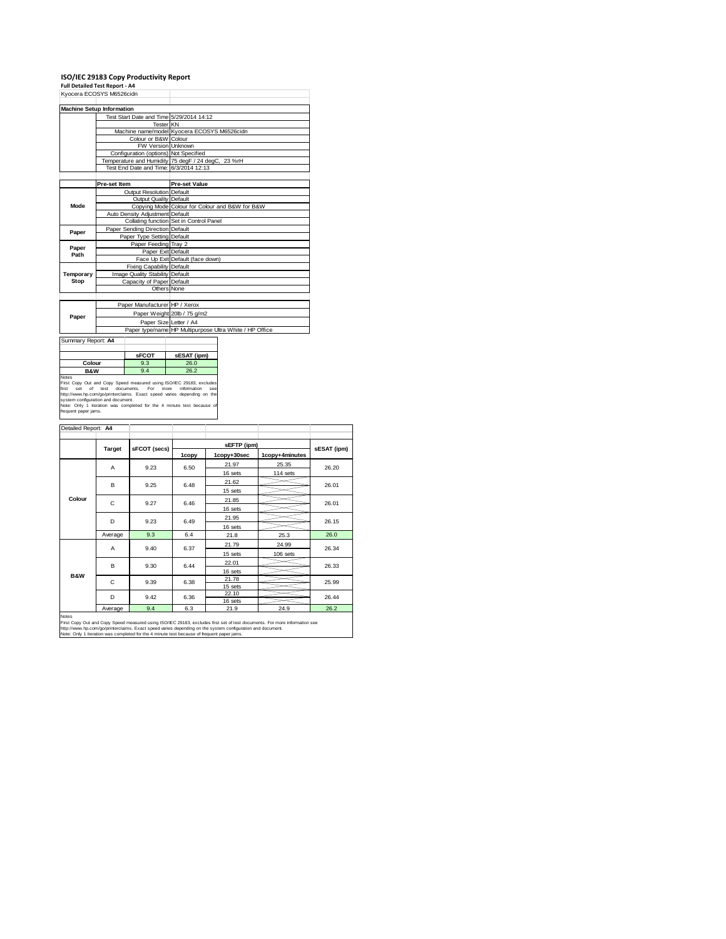### **ISO/IEC 29183 Copy Productivity Report Full Detailed Test Report ‐ A4**

|             | Kvocera ECOSYS M6526cidn                 |                                                         |
|-------------|------------------------------------------|---------------------------------------------------------|
|             | <b>Machine Setup Information</b>         |                                                         |
|             | Test Start Date and Time 5/29/2014 14:12 |                                                         |
|             | <b>Tester</b> KN                         |                                                         |
|             |                                          | Machine name/model Kyocera ECOSYS M6526cidn             |
|             | Colour or B&W Colour                     |                                                         |
|             | FW Version Unknown                       |                                                         |
|             | Configuration (options) Not Specified    |                                                         |
|             |                                          | Temperature and Humidity 75 degF / 24 degC, 23 %rH      |
|             | Test End Date and Time: 6/3/2014 12:13   |                                                         |
|             |                                          |                                                         |
|             | Pre-set Item                             | <b>Pre-set Value</b>                                    |
|             | <b>Output Resolution Default</b>         |                                                         |
|             | Output Quality Default                   |                                                         |
| <b>Mode</b> |                                          | Copying Mode Colour for Colour and B&W for B&W          |
|             | Auto Density Adjustment Default          |                                                         |
|             |                                          | Collating function Set in Control Panel                 |
| Paper       | Paper Sending Direction Default          |                                                         |
|             | Paper Type Setting Default               |                                                         |
| Paper       | Paper Feeding Tray 2                     |                                                         |
| Path        | Paper Exit Default                       |                                                         |
|             |                                          | Face Up Exit Default (face down)                        |
|             | <b>Fixing Capability Default</b>         |                                                         |
| Temporary   | Image Quality Stability Default          |                                                         |
| Stop        | Capacity of Paper Default                |                                                         |
|             | Others None                              |                                                         |
|             |                                          |                                                         |
|             | Paper Manufacturer HP / Xerox            |                                                         |
| Paper       |                                          | Paper Weight 20lb / 75 g/m2                             |
|             | Paper Size Letter / A4                   |                                                         |
|             |                                          | Paper type/name HP Multipurpose Ultra White / HP Office |
|             |                                          |                                                         |

Summary Report: **A4**

|                                                                      | <b>SFCOT</b>      | sESAT (ipm)                |
|----------------------------------------------------------------------|-------------------|----------------------------|
| Colour                                                               | 9.3               | 26.0                       |
| <b>B&amp;W</b>                                                       | 9.4               | 26.2                       |
| <b>Notes</b>                                                         |                   |                            |
| First Copy Out and Copy Speed measured using ISO/IEC 29183, excludes |                   |                            |
| first<br>test<br>nf<br>set                                           | documents.<br>For | information<br>more<br>see |

┶

First Copy Out and Copy Speed measured using ISO/IEC 29183, excludes<br>first set of test documents. For more information see<br>http://www.hp.com/go/printenclaims. Exact speed varies depending on the<br>Note: Only 1 Retation was c

| Detailed Report: A4 |               |              |       |                            |                |             |       |
|---------------------|---------------|--------------|-------|----------------------------|----------------|-------------|-------|
|                     |               |              |       |                            |                |             |       |
|                     | <b>Target</b> | sFCOT (secs) | 1copy | sEFTP (ipm)<br>1copy+30sec | 1copy+4minutes | sESAT (ipm) |       |
|                     | A             | 9.23         | 6.50  | 21.97                      | 25.35          | 26.20       |       |
|                     |               |              |       | 16 sets                    | 114 sets       |             |       |
| Colour              | B             | 9.25         | 6.48  | 21.62                      |                | 26.01       |       |
|                     |               |              |       | 15 sets                    |                |             |       |
|                     | C             |              | 9.27  | 6.46                       | 21.85          |             | 26.01 |
|                     |               |              |       | 16 sets                    |                |             |       |
|                     | D             | 9.23         | 6.49  | 21.95                      |                | 26.15       |       |
|                     |               |              |       | 16 sets                    |                |             |       |
|                     | Average       | 9.3          | 6.4   | 21.8                       | 25.3           | 26.0        |       |
|                     | A             | 9.40         | 6.37  | 21.79                      | 24.99          | 26.34       |       |
|                     |               |              |       | 15 sets                    | $106$ sets     |             |       |
|                     | B             | 9.30         | 6.44  | 22.01                      |                | 26.33       |       |
| <b>B&amp;W</b>      |               |              |       | 16 sets                    |                |             |       |
|                     | C             | 9.39         | 6.38  | 21.78                      |                | 25.99       |       |
|                     |               |              |       | 15 sets                    |                |             |       |
|                     | D             | 9.42         | 6.36  | 22.10<br>16 sets           |                | 26.44       |       |
|                     | Average       | 9.4          | 6.3   | 21.9                       | 24.9           | 26.2        |       |
| <b>Notes</b>        |               |              |       |                            |                |             |       |

Notes<br>First Copy Out and Copy Speed measured using ISO/IEC 29183, excludes first set of test documents. For more information see<br>http://www.bp.com/go/printeclaims. Exact speed varies depending on the system configuration a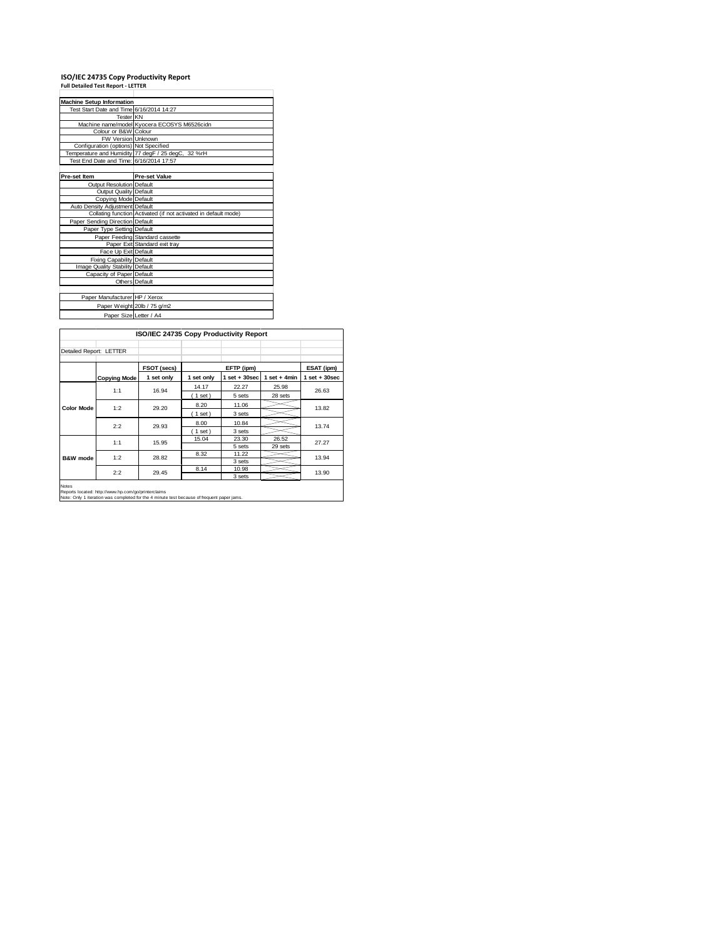### **ISO/IEC 24735 Copy Productivity Report Full Detailed Test Report ‐ LETTER**

| <b>Machine Setup Information</b>         |                                                                 |
|------------------------------------------|-----------------------------------------------------------------|
| Test Start Date and Time 6/16/2014 14:27 |                                                                 |
| <b>Tester</b> KN                         |                                                                 |
|                                          | Machine name/model Kyocera ECOSYS M6526cidn                     |
| Colour or B&W Colour                     |                                                                 |
| <b>FW Version Unknown</b>                |                                                                 |
| Configuration (options) Not Specified    |                                                                 |
|                                          | Temperature and Humidity 77 degF / 25 degC, 32 %rH              |
| Test End Date and Time: 6/16/2014 17:57  |                                                                 |
|                                          |                                                                 |
| Pre-set Item                             | <b>Pre-set Value</b>                                            |
| Output Resolution Default                |                                                                 |
| <b>Output Quality Default</b>            |                                                                 |
| Copying Mode Default                     |                                                                 |
| Auto Density Adjustment Default          |                                                                 |
|                                          | Collating function Activated (if not activated in default mode) |
| Paper Sending Direction Default          |                                                                 |
| Paper Type Setting Default               |                                                                 |
|                                          | Paper Feeding Standard cassette                                 |
|                                          | Paper Exit Standard exit tray                                   |
| Face Up Exit Default                     |                                                                 |
| Fixing Capability Default                |                                                                 |
| Image Quality Stability Default          |                                                                 |
| Capacity of Paper Default                |                                                                 |
|                                          | Others Default                                                  |
|                                          |                                                                 |
| Paper Manufacturer HP / Xerox            |                                                                 |
|                                          | Paper Weight 20lb / 75 g/m2                                     |
| Paper Size Letter / A4                   |                                                                 |
|                                          |                                                                 |

|                         | ISO/IEC 24735 Copy Productivity Report                                                                                                                                                                                         |             |            |                 |                 |                   |
|-------------------------|--------------------------------------------------------------------------------------------------------------------------------------------------------------------------------------------------------------------------------|-------------|------------|-----------------|-----------------|-------------------|
| Detailed Report: LETTER |                                                                                                                                                                                                                                |             |            |                 |                 |                   |
|                         |                                                                                                                                                                                                                                | FSOT (secs) |            | EFTP (ipm)      |                 | ESAT (ipm)        |
|                         | <b>Copying Mode</b>                                                                                                                                                                                                            | 1 set only  | 1 set only | $1$ set + 30sec | $1 set + 4 min$ | $1$ set $+30$ sec |
|                         | 1:1                                                                                                                                                                                                                            | 16.94       | 14.17      | 22.27           | 25.98           | 26.63             |
|                         |                                                                                                                                                                                                                                |             | (1 set)    | 5 sets          | 28 sets         |                   |
| <b>Color Mode</b>       | 1:2                                                                                                                                                                                                                            | 29.20       | 8.20       | 11.06           |                 | 13.82             |
|                         |                                                                                                                                                                                                                                |             | $1$ set)   | 3 sets          |                 |                   |
|                         | 2:2                                                                                                                                                                                                                            | 29.93       | 8.00       | 10.84           |                 | 13.74             |
|                         |                                                                                                                                                                                                                                |             | $1$ set)   | 3 sets          |                 |                   |
|                         | 1:1                                                                                                                                                                                                                            | 15.95       | 15.04      | 23.30           | 26.52           | 27.27             |
|                         |                                                                                                                                                                                                                                |             |            | 5 sets          | 29 sets         |                   |
| <b>B&amp;W</b> mode     | 1:2                                                                                                                                                                                                                            | 28.82       | 8.32       | 11.22           |                 | 13.94             |
|                         |                                                                                                                                                                                                                                |             |            | 3 sets          |                 |                   |
|                         | 2:2                                                                                                                                                                                                                            | 29.45       | 8.14       | 10.98           |                 | 13.90             |
|                         |                                                                                                                                                                                                                                |             |            | 3 sets          |                 |                   |
| <b>Notes</b>            | Processed and the control of the control of the control of the control of the control of the control of the control of the control of the control of the control of the control of the control of the control of the control o |             |            |                 |                 |                   |

Reports located: http://www.hp.com/go/printerclaims Note: Only 1 iteration was completed for the 4 minute test because of frequent paper jams.